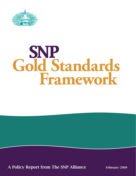

# SNP **Gold Standards Framework**

A Policy Report from The SNP Alliance February 2009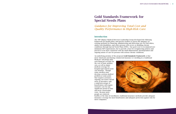# *Guidance for Improving Total Cost and Quality Performance in High-Risk Care*

# Introduction

The SNP Alliance Medical Directors Leadership Group developed the following framework for health policy and practice leaders to assess the adequacy of existing methods for financing, administering and delivering care for frail elders, adults with disabilities, and other persons with severe or disabling chronic conditions through Special Needs Plans (SNPs). Our goal is not to recommend new minimum SNP requirements, but to provide a lens for reengineering policies and practices to be more consistent with the multi-dimensional, interdependent and ongoing nature of care for persons with serious chronic conditions.

An underlying premise of the proposed *Gold Standards Framework*, is that most Americans purchasing commercial insurance or enrolling in a traditional

Medicare Advantage plan seek financial coverage for the cost of basic primary care, as well as major medical coverage for hospital and related acutecare benefits. Though some enrollees may develop a serious medical problem at some point that requires extensive, ongoing care from a broad array of providers, only a small percentage of beneficiaries will require extensive care for any significant period of time and incur catastrophic costs. Because most people are relatively



healthy at the time of enrollment, traditional insurance methods provide adequate insurance coverage for most beneficiaries and adequate protection against risk for most companies.

# Gold Standards Framework for Special Needs Plans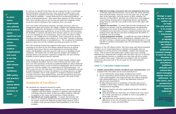In contrast, for Special Needs Plans that are required by law to enroll highrisk beneficiaries with special needs, *most, if not* all, *enrollees have a preexisting medical condition at the time of enrollment that is complicated by other medical conditions — mental, behavioral or psychosocial problems — as well as environmental factors*. Since about three-quarters of SNPs are Dual SNPs, most enrollees also are low-income and many have language, ethnic, social and cultural challenges that complicate their care needs

To be successful, SNP payment methods, oversight structures and care arrangements must all recognize the volatile, complex and ongoing nature of conditions exhibited by the majority of SNP enrollees. The infrastructure for financing, administration and delivery of care by SNPs must offer providers the flexibility to monitor and adjust their patients' plans of care in response to an ever-changing set of circumstances, and to work with others to help manage a very complicated set of problems. Policy, plan and care network structures and procedures must embrace an "extra mile" attitude in offering a multidimensional lifetime of specialized care. The exception for traditional insurance plans must be the standard operating procedures for SNPs.

The Gold Standards Framework outlined in this report were developed by consensus in an effort by the SNP Alliance Medical Directors in seeking to identify those issues that are most important in serving frail elders, adults with disabilities and other persons with severe or disabling chronic conditions. The framework was built upon the insights and training of national leaders with extensive experience in high-risk care and currently available research and best practice material.

Some Special Needs Plans and health policy leaders already embrace many of the standards identified. However, most Federal and State policy and most core SNP operations are based on traditional Medicare and/or Medicaid structures and procedures, some of which are significantly out-of-touch and out-of-sync with the complex care requirements of SNP beneficiaries. For SNPs to succeed over the long term, it is critical for SNP stakeholders serving in leadership positions to assess the adequacy of existing practices, in light of these standards, and to work together to reengineer payment methods, oversight structures, plan administration, and care management processes to be more in keeping with the predominant specialty care needs of SNP beneficiaries.

# Standards of Excellence

The standards are organized around five goals:

- 1. Consumer empowerment. To enable persons with serious chronic conditions and their family caregivers to optimize their health and well-being within the limits of their prevailing condition, with full recognition of the values and preferences of plan enrollees.
- 2. Specialized care system expertise. To ensure that benefits and services are designed, implemented and maintained according to the unique needs of the high-risk group(s) being targeted, and in accordance with *relevant* evidence-based guidelines, to the extent available.

In some cases, usual health care policies and practices cause significant and unnecessary stress, confusion, medical complications and costs in serving persons with serious chronic conditions. SNPs policy and practice leaders cannot afford to conduct business as usual. ""

- 3. High-risk screening, assessment and care management processes. To identify high-risk beneficiaries, assess their care needs and help them and their family caregivers access the right care, at the right time, in the right place, given the nature of their condition, the trajectory of their illness, and their care preferences, with emphasis on preventing, delaying and/or minimizing disease and disability progression as a person's care needs evolve across time, place and profession..
- 4. Aligned care providers. To ensure that provider arrangements are aligned in accordance with the multidimensional, interdependent and ongoing care needs of high-risk beneficiaries, so that care is coordinated across providers around a common treatment plan and medical errors and adverse outcomes resulting from the failure to coordinate care are avoided.
- 5. System management methods. To enable the spectrum of Medicare and Medicaid programs, disease management companies and care providers serving a common group of high-risk beneficiaries to work together to optimize total quality and cost performance for high-risk beneficiaries.

Members of The SNP Alliance believe that these goals and related standards to follow are of central importance to optimize total quality and cost performance in serving persons with multiple, complex and ongoing care needs. SNP executives and health policy leaders must assess existing administrative, financial and oversight rules that affect the way we provide care and eliminate barriers or establish new rules that will better enable SNPs to achieve these goals. Following in an outline of the key elements involved in advancing each of the five goals for the Gold Standards Framework.

# Goal #1: Consumer Empowerment

- *1. Simplify and facilitate member enrollment and communications.* Gold Standard SNPs will enable special needs individuals to:
	- a. Access SNP benefits using simple enrollment procedures.
	- b. Receive information about benefits and services that is accurate, easily understandable, and using materials that address language and cultural differences, as well as any limitations related to physical and visual deficits.
	- c. Be fully informed, prior to enrollment, of benefits and services available to them using common, simple, integrated methods of communication regarding:
		- $\blacksquare$  Medicare benefits and other supplemental benefits available under the plan.
		- **Medicaid benefits for which they are entitled in the state where** they reside, and which are available as well as unavailable to them under the plan.
		- **Any limitations on plan benefits and services as well as** differences in the cost of benefits and services, including premiums, co-pays and deductibles.

Change is upon us, and we can neither run nor hide. The only answer is to create new — nimble — businesses capable of adroitly responding to the chaotic conditions produced by constant change. It won't be easy. Decades of deeply ingrained procedures, traditions, attitudes and cultural bias about managing change must be jettisoned. In their place, new perspectives and frameworks must be embraced.

Daryl Conners *Leading at the Edge of Chaos*

"

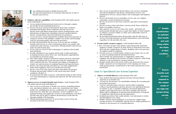



- Any additional benefits available from the SNP.
- Any special requirements or exclusions affecting the receipt of benefits and services.
- *2. Enhance self-care capabilities.* Gold Standard SNPs will enable special needs individuals to:
	- a. Access medical, behavioral and social services through a simple, decentralized and standardized process.
	- b. Receive the most advanced information about their condition including information about symptoms and risk factors for disease onset and illness progression, genetic predisposition, and information of importance regarding a person's medical history, dietary considerations, and environmental circumstances.
	- c. Access the most current information available about best practices in caring for persons with multiple, complex care needs, and including tools for assessing quality and selecting providers.
	- d. Be fully informed about the best way to access and use available benefits and services as well as information about cost, quality and satisfaction with reference to providers offering benefits and services under the SNP benefit plan.
	- e. Access self-care services and technologies to optimize their health and well-being.
	- f. Be fully informed of care options and be able to fully participate in making decisions about their care, with all parties appropriately accountable for decisions made.
	- g. Have their family caregivers informed, trained and given emotional support in helping their loved ones deal with the complexities of their condition and care. This includes providing or arranging for respite care and assistance in making financial and legal decisions.
	- h. Receive care from network providers in a way that complements, rather than supplants, their own self-directed activities.
	- i. Receive care at the time and in the place that offers the greatest freedom and personal comfort to the extent that their overall condition will allow it.
	- j. Be guaranteed the right to privacy, with full knowledge of and control over what information is retained and shared by the SNP and network providers.
- *3. Improve access to needed benefits and services.* Gold Standard SNPs will enable special needs individuals to:
	- a. Have access to a full array of health care services, including primary care, specialized medical care, acute care, transitional care, home health care, rehabilitation services, residential care, community-based long-term care, adult day-care, pharmacy services, palliative care, assisted housing, and supportive services at the minimum, even those all SNPs may not be able to address all beneficiary needs directly through available SNP financing.
	- b. Obtain information about how to access these services from any provider in the SNP care network.

// Enable beneficiaries to optimize their health and well being within the limits of their condition. "

**Ensure** benefits and services respond to the unique needs of the high-risk groups being served. "

- c. Have access to specialized chronic illness care services, including specialized diagnostic and disease management services, care management services, chronic illness care technologies and adaptive devices.
- d. Receive all needed services regardless of race, age, sex, religion, nationality, sexual orientation or income.
- e. Receive all services in the least restrictive and safest environment feasible.
- f. Receive services when and where a person needs them, within the limits of available resources.
- g. Have priority access to care where they reside. All health care professionals should take into account their ability to either impede or enhance a person's ability to safely and comfortably return to that environment.
- h. Be provided information about all providers and the full array of services that help maximize personal independence and well-being, regardless of who provides the care.

### *4. Provide family caregiver support.* Gold Standard SNPs will:

- a. Have structures in place that inform, train and provide emotional support to family caregivers in their efforts to help their loved ones deal with the complications of frailty, disability and or the presence of complex medical conditions.
- b. Provide access to, or help family caregivers get respite care as well as assist in making financial and legal decisions.
- c. Direct health care professionals to complement, rather than supplant, the self-directed activities of family caregivers, while being sensitive to the potential for caregiver burnout.
- d. Require health and social service staff to use protocols that ensure family caregivers are an integral part of the ongoing care team, while giving primary consideration to the needs and interests of the beneficiary.

# Goal #2: Specialized Care System Expertise

### *1. Address co-morbid illnesses.* Gold Standard SNPs will:

- a. Have medical direction provided by persons with specialized expertise in co-morbid care.
- b. Account for the presence of comorbidities during the screening and assessment processes.
- c. Contract with physicians who have special skills in adapting evidence-based guidelines and best practices for individual diseases in relation to age, co-morbid conditions, functional limitations, member goals and preferences and other variables affecting the ability and/or willingness of special needs beneficiaries to respond to traditional clinical protocols and approaches.
- d. Establish procedures that enable primary care physicians to utilize interdisciplinary care teams.
- e. Modify evidence-based guidelines to account for a higher-thanaverage presence of comorbidity and the need to adapt guidelines in relation to the presence of co-morbid illnesses.

"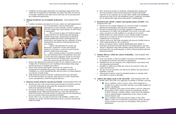- f. Establish record-keeping and health care planning requirements that enable the development of individual care plans that fully account for co-morbid conditions and other factors that may not be incorporated into traditional approaches.
- *2. Manage beneficiary use of multiple medications.* Gold Standard SNPs will
	- a. Conduct an initial assessment of overuse, under use and inappropriate

use of medications, reassess medication management at least annually, and have triggers in place for conducting reassessments at other times, as appropriate.

b. Have systems in place for defined subsets of plan enrollees for monitoring and managing multiple drug usage, maximizing coordination among multiple prescribers and dispensers of medications, and improving the continuity of drug management for patients transitioning between care settings.

c. Ensure that principal care teams, all physicians' outpatient records and hospital medical records have a *current* record of all the patient's medications and usage.

d. Have systems in place to integrate medical cost and utilization data with pharmacy data and to track and report aggregate trends in outcomes over time and across settings and to proactively intervene to prevent adverse drug events.

- e. Ensure that pharmacists function as part of care teams for patients are at high-risk of medication errors resulting from multiple drug usage and involvement of multiple prescribers.
- f. Ensure that patients and family caregivers are trained in the management of multiple drug usage, with emphasis on issues of compliance as well as minimizing the adverse effects of drug regimens on activities of daily living.
- g. Align financial incentives related to pharmaceutical care provided by network providers serving the same person to reduce medication errors and pharmacy-related iatrogenic illnesses.
- *3. Integrate mental, behavior and physical health.* Gold Standard SNPs will:
	- a. Identify persons with mental, behavioral and physical health expertise to provide leadership in advancing the integration of mental, behavioral and physical health.
	- b. Encourage all primary care physicians and care teams responsible for managing care for high-risk beneficiaries to work with mental and behavioral health care professionals in addressing the interdependence between mental, behavioral and physical health.
	- c. Ensure that every care plan for persons with multiple, complex and ongoing care needs contains information about a person's mental and behavior health.
- - $\blacksquare$  Has a condition, such as cancer, where their prognosis is reliably fewer than six months and thus can readily qualify for hospice enrollment;
	- Has a condition with organ system failure, such as congestive heart failure (CHF), chronic obstructive pulmonary disease (COPD), cirrhosis, or kidney failure, where most die suddenly from an unpredictable complication in the course of their chronic disease; and
	- Has a condition where the person is likely to lose their ability to take care of themselves long before death, and thus require intensive personal care throughout their period of dependency.



- d. Have structures in place to facilitate communication among care network providers with mental, behavioral and physical health expertise in the ongoing care of frail elders, adults with disabilities and persons with severe and disabling chronic conditions, including use of shared data while preserving patient confidentiality.
- *3. Respond to the volatile, complex and ongoing nature of frailty.* Gold Standard SNPs will:
	- a. Provide for the routine diagnosis of a person's frailty as uniquely different from disability and medical complexities.
	- b. Provide for monitoring of real-time changes in symptoms and circumstances to reduce the probability of an acute event that could cause a person's overall condition to cascade out of control.
	- c. Enable health care professionals to successfully modify treatment protocols to account for reduced tolerance levels of various combinations of treatment.
	- d. Advance protocols that help strengthen the person's health reserves while compensating for any weaknesses.
	- e. Ensure for patient safety, without diminishing their ability to determine the preferred trade-offs between independence and risk.
	- f. Advance alignment and understanding among related primary, acute and long-term care professionals, as well as related medical and nonmedical providers.

#### *5. Manage illnesses within the context of disability.* Gold Standard SNPs will ensure that:

- a. Every care facility is fully accessible to persons with disabilities, with technological assistance provided, as appropriate.
- b. Disability factors are integral to all comprehensive assessment and care planning instruments.
- c. Disability is addressed within the context of a person's total care needs and interests.
- d. All care network providers can effectively address the spectrum of disability concerns.
- e. Clinical interventions empower disabled patients to manage their own affairs as much as possible.

# *6. Address the unique needs at the end of life.* Gold Standard SNPs will:

a. Modify their end-of-life care approach according to whether a person: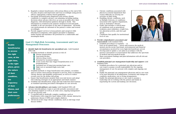- b. Regularly evaluate beneficiaries with serious illness at the end of life for pain, dyspnea and depression and treat accordingly using proven efficacy appropriate evidence-based guidelines.
- c. Encourage all beneficiaries diagnosed with serious chronic conditions to complete advance care planning, including making decisions about advance directives as soon as possible after their diagnosis, with information updated, through to death. This information is retained in the patient's medical record and made available to all care providers at the time of admissions. All health care professionals are informed of the patient's wishes and treated accordingly.
- d. Provide support services to keep patients and caregivers fully informed of symptoms, with support provided to minimize undue burden and maximize the potential for a comfortable and meaningful death.

# Goal #3: High-Risk Screening, Assessment and Care Management Processes

beneficiaries to access the right care, at the right time, in the right place, given the nature of their condition, the trajectory of their illness, and their care preferences.<br>//

- *1. Identify high-risk beneficiaries for specialized care.* Gold Standard SNPs will:
	- a. Establish methods to identify persons at risk of:
		- **Disease progression;**
		- **Functional decline;**
		- **Adverse drug events;**
		- **Potential for treatment failure;**
		- Acute events that may trigger hospitalization or rehospitalization;
		- Sustained use of long-term nursing home care;
		- **High-cost or sustained high-costs; and**
		- Death.
	- b. Establish methods to triage beneficiaries into primary, secondary and/or tertiary interventions designed to prevent, delay or minimize chronic disease and disability progression, as well as to reduce overall costs for the define risk group.
	- c. Ensure that beneficiaries monitor their own risk factors and adopt risk-reducing strategies in an appropriate and timely manner.
	- d. Establish risk identification, triage and risk-reduction interventions as standard operating procedures throughout its care network.
- *2. Advance interdisciplinary care teams.* Gold Standard SNPs will advance interdisciplinary teams to provide periodic assessment and care planning support as well as, in some cases, ongoing management of care for persons with:
	- a. Co-morbid and/or medically complex conditions, such as beneficiaries with congestive heart failure (CHF), chronic obstructive pulmonary disease (COPD) and complex diabetes.
	- b. Advanced or late-stage chronic conditions, such as end-stage renal disease (ESRD).

Enable

"



- c. Chronic conditions associated with physical or mental impairment that creates difficulty in carrying out activities of daily living.
- d. Disabling chronic conditions, such as Multiple Sclerosis, or conditions associated with cognitive impairment, such as Alzheimer's disease.
- e. Frailty that includes a critical mass of conditions such as generalized weakness, poor endurance, weight loss, low physician activity, and slow gait speed.
- f. Conditions that qualify for institutional level of care.
- *3. Provide comprehensive assessment and reassessment.* Gold standard SNPs:
	- a. Establish procedures to regularly at least on an annual basis — assess and reassess the medical, mental, psycho-social, functional, environmental and financial circumstances involved for every high-risk beneficiary served.
	- b. Develop and/or update a care plan in accordance with the person's assessment or reassessment that addresses the spectrum of medical and non-medical needs.
	- c. Share assessment findings and plan information with all relevant care providers.
- *4. Establish principal care management leadership and support.* Gold Standard SNPs:
	- a. Establish procedures for a principal care physician and/or care team to assume overall responsibility for the ongoing management of care for persons with complex and ongoing care needs.
	- b. Enable the principal care management physician and/or care team to be kept informed of all admissions, treatments and changes in condition, medication, care or living arrangements.
	- c. Enable the principal physician or care team to assume a leadership role in working with the patient and family in negotiating the system and making care decisions.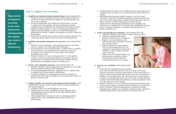

# Goal #4: Aligned Care Providers

- *1. Establish and maintain advanced medical homes.* Gold Standard SNPs: a. Designate advanced medical home(s) for SNP enrollees in defined service areas where providers are aligned to provide specialty care across the continuum.
	- b. Develop arrangements that enable the medical home to assume a central role in the ongoing, real-time monitoring of patient conditions and coordinating care among related network providers.
	- Enable the medical home to create an ongoing partnership with patients and their families to serve as a coach and support in addressing the volatile, complex and ongoing care needs of high-risk beneficiaries.
	- d. Work with the medical home in monitoring key quality indicators for continuous quality improvement for special needs populations.
- *2. Establish and maintain integrated care networks.* Gold Standard SNPs will:
	- a. Identify networks of primary, acute and long-term care providers who serve many of the same high-risk beneficiaries.
	- b. Work with these care network providers to enable them to establish safe and effective care transitions and common care practices to optimize care continuity in serving people with common, interrelated care needs.
	- c. Provide incentives for care network providers to work together around a common care plan and optimize total quality and cost performance as an aligned group of providers working with the medical home in managing an array of complex care.
- *3. Partner with community programs.* Gold Standard SNPs will:
	- a. Identify community service organizations of importance to the highrisk beneficiaries enrolled in their health plan.
	- b. Develop relationships with these community service organizations to simplify referral and enhance collaboration.
	- c. Develop coordinated care arrangements wherever it holds the potential for improving total quality and cost performance and is of interest to those served.
- *4. Employ specialty care protocols and advance practice methods.* Gold standard SNPs contract and/or employ health care professionals who have special skills in:
	- a. Working as part of an interdisciplinary care team.
	- b. Empowering the self-care capabilities of their patients and in strengthening the health reserves of the frail, disabled and/or chronically-ill persons.
	- c. Using comprehensive assessment and care planning methods, supported by a more multidimensional team of health care professionals.

# Align provider arrangement according to the multidimensional, interdependent and ongoing care needs of high-risk beneficiaries. ""

- d. Working within the context of a condition's history and trajectory of conditions that are likely to evolve after the person leaves their care setting.
- e. Balancing medical and non-medical concerns, with the overall concern for a person's functional capabilities and personal interests and values, rather than simply seeking to kill an infection, repair an injury, or mask or nullify symptoms of pain and disease.
- f. Using relevant evidence-based guidelines, where available, and knowing how to modify them to accommodate diminished tolerance levels, co-morbid conditions, coexisting treatment plans for comorbid conditions, etc.

#### *5. Ensure safe and effective transitions.* Gold Standard SNPs will:

- a. Establish compatible approaches to intake and assessment.
- b. Improve communication among providers involved in care transitions.
- c. Improve care team follow-up with patients following transitions to another care setting or home.
- d. Empower patients to help minimize errors in transitioning between care settings by educating them about their conditions, what to expect and their roles in self-care.
- e. Reduce rates of iatrogenic illness and medical errors caused by a failure to provide for safe and effective transitioning between care settings.
- *6. Increase care continuity.* Gold standard SNPs will:
	- a. Work with the leadership from the medical home and care network providers who serve many of the same persons to develop consensus expectations of what will be done, by whom, in what setting, along what specific time scale, in relation to a defined set of circumstances. The care team seeks to work together to achieve a mutually-agreed upon set of care and cost outcomes for enrollees with certain high-risk conditions, as their conditions evolves over time and across care settings.
	- b. Monitor continuity of care for targeted groups and intervening when inconsistencies appear to produce adverse clinical or cost outcomes.
	- c. Insure continuity of clinical management in all needed settings, including home, primary care, hospital, outpatient clinics, pharmacy, skilled nursing facility, home health care, day health care, etc.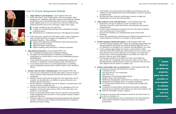



# Goal #5: System Management Methods

- *1. Align Medicare and Medicaid.* Gold Standard SNPs will:
- a. Work with county (and, if appropriate, state) government, other managed care companies and other persons responsible for helping beneficiaries access needed benefits and services to enable any dually-eligible person to access and receive all their Medicare and Medicaid benefits and services through a single entity using:
	- A single enrollment process and form.
	- A single set of marketing materials and standardized member communications.
	- Standardized or coordinated grievance and appeals procedures.
- b. Work with state, regional and CMS policy staff to align regulations and oversight functions to support the alignment of care for individual enrollees. This includes:
	- Aligned SNP application and Medicaid contracting provisions.
	- **Aligned payment methods.**
	- **Aligned program requirements.**
	- **Aligned auditing and performance evaluation methods.**
- *2. Align financial incentives.* Gold Standard SNPs will:
	- a. Use compatible financing and accounting methods.
	- b. Recognize the interdependence of Medicare and Medicaid expenditures in contracting for services and establishing payment methodologies.
	- c. Create financial incentives for related administrators, plans and providers to collaborate around common goals and objectives.
	- d. Create financial incentives to avoid inappropriate cost shifting between programs and providers without regard to the cumulative effects.

#### *3. Advance inter-provider communication.* Gold Standard SNPs will:

- a. Structure the composition of boards and senior executive teams to assure adequate representation from the full spectrum of a care continuum.
- b. Identify network-wide goals and objectives for improving care for complex care beneficiaries, in addition to general business and program specific objectives.
- c. Revisit options to strengthen the role of primary care physicians with special expertise in high-risk care.
- d. Designate and advance the alignment of care planning activity for programs serving the same person, either at the same time or in sequence to one another.
- e. Revisit contracting options where there are incentives for providers within designated care networks to work together around common goals and objectives.
- f. Facilitate improved communication among programs and clinicians serving a common group of high-risk beneficiaries but working in different provider settings.

**Enable** Medicare and Medicaid programs, plans and care providers to work together to optimize total quality and cost performance. ""

- g. Train health care professionals from different professions and care settings in team management and interdisciplinary and inter-program communication.
- h. Develop and share collective performance reports on high-risk beneficiaries served by network providers.

## *4. Align medical records and informatics.* Gold Standard SNPs will:

- a. Expand the concept of medical records to include the full spectrum of psycho/social, functional, environmental and medical considerations.
- b. Extend routine information sharing across the spectrum of primary, acute and long-term care providers.
- c. Increase the timeliness of communication upon referral and discharge.
- d. Ensure that all pharmacy information is included and updated in one central medical record that is accessible to all prescribers.

## *5. Provide ongoing training and support.* Gold Standard SNPs will:

- a. Develop training programs that enable all seemingly independent and related programs and health care professionals in high-risk care to see themselves as members of a common, interdisciplinary care team.
- b. Create training opportunities for nurses, social workers, rehab specialists and other health care professionals who serve many of the same persons, but work in different care settings, to become more acutely aware of their interdependence and adopt new usual care practices that are more fully aligned.
- c. Develop opportunities for program executives from different parts of the care continuum to become more fully aware of their interdependence and develop new usual care practices that are more fully aligned with the nature of complex care.

# *6. Monitor total quality and cost performance.* Gold Standard SNPs will:

- a. Develop new measures and methods to monitor:
	- **Continuity of care;**
	- Safe and effective care transitions;
	- End-of-life care; l a l
	- Maintenance of functional independence; l a l
	- Member choice and satisfaction; l a l
	- F. Medication management, particularly for complex care patients;
	- Management of multiple and/or co-morbid conditions; H.
	- Use of specialized medical care in treating targeted high-risks l a l conditions;
	- **The Treatment of mental illness and behavioral health, including** integration of treatment with medical care and social support; and
	- Self-care and family caregiver support.
- b. Develop new measures and methods to monitor the effectiveness of care network strategies to:
	- $\blacksquare$  Reduce hospitalization rates, nursing home stays and emergency room usage in relation to usual care practices for targeted beneficiaries.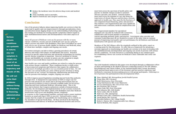

Reduce the incidence rates for adverse drug events and medical errors.

Delay morbidity and/or mortality.

**Improve beneficiary and caregiver satisfaction.** 

# Conclusion

One of the greatest fallacies about improving health care services is that the main road to quality and cost improvement is through specialization, where specialization means digging deeper in our understanding of physiology and fine-tuning our methods for treating specific symptoms without regard to their multidimensional nature and interdependence with other aspects of life.

About 66 percent of Medicare costs are for persons with five or more chronic conditions. Seventy percent of Medicaid costs are for caring for elderly persons and adults with disabilities. More than \$200 billion are spent each year in care of persons dually eligible for Medicare and Medicaid, many of whom have multiple, complex and ongoing care needs.

Prevention strategies can halt or delay a growing prevalence of certain illnesses and reduce their impact on individuals and society. Research focused on specific organ functions and advancing technologies for treating specific disease symptoms is important. However, problems of chronic disease and disability are systemic in nature; any one symptom is simply one facet of an overall illness trajectory and mosaic of life.

administration aaministration<br>and care. salf Most health care costs and quality problems are related to caring for persons with serious chronic conditions. These conditions involve a whole series of interconnected symptoms and behaviors that require the *collaborative*  involvement of multiple providers over an extended period of time. We will not solve our current health care crisis without greater attention to fixing the fractures in our "system" for financing, administering and delivering care for persons with multiple, complex, ongoing care needs.

In 2008, Congress passed legislation extending Special Needs Plan authority through 2010. It sharpened its expectations of SNPs to target care for persons with advanced care needs and to develop interventions that are truly special in relation to what is currently available under fee-for-service financing and from traditional Medicare Advantage plans. This is the first time in history that Congress authorized, outside of demonstration authority, the development and implementation of care systems exclusively focused on caring for frail elders, adults with disabilities and other Medicare beneficiaries with severe and disabling chronic conditions. In response to this Congressional mandate, national leaders cannot maintain business as usual and expect SNPs to succeed. National leaders cannot assume that the weight of responsibility for transforming care is entirely on the shoulders of Special Needs Plans. All those involved in the financing, administration and delivery of Medicare and Medicaid benefits and services

Serious

chronic

conditions

are systemic

in nature;

any one

symptom is

simply one

facet of an

overall illness

trajectory and

mosaic of life.

We will not

solve their

problems

without fixing

the fractures

in financing,

"

must look across the spectrum of health policy and practice to identify changes needed to promote effective specialty care models. National leaders must look across the domains of care and along the trajectories of chronic illnesses and develop a systems approach to health care. They must fix the fractures of our component-based financing, policy and practices that reinforce care fragmentation and cause significant and unnecessary confusion, medical complications and waste.

The Congressional mandate for specialized managed care can only be realized with a tenacious, collaborative and focused agenda to transform current operating methods, policy and practice. Government, plan, provider and consumer leadership must all see themselves as part of the same team in common pursuit of improving total quality and cost performance for all Medicare and Medicaid beneficiaries with special care needs.

Members of The SNP Alliance offer the standards outlined in this policy report as a starting point for this discussion. We offer this as a framework for advancing a systemic approach to transforming our health care systems to be more in keeping with the multidimensional, interdependent and ongoing care needs of persons with serious chronic conditions. We look forward to a continuing dialog in our common quest for establishing a better care system for Medicare's most vulnerable and costly care segment.

#### **Notes**

The Gold Standards outlined in this paper were developed through a collaborative effort of those participating in the Medical Directors Leadership Group of The SNP Alliance. Rich Bringewatt and Valerie Wilbur, of the National Health Policy Group, developed draft material based upon review of the literature and best practice experience and facilitated a consensus decision-making process with group participants. Following is a list of persons who participated in this developmental effort.

| Hany Abdelaal, MD, Metropolitan Jewish Health System |
|------------------------------------------------------|
| Doug Allen, MD, Caremore                             |
| Ruth Christensen, iCare Wisconsin                    |
| Craig Christianson, MD, Ucare Minnesota              |
| Steven Christianson, MD, VNS of New York             |
| Roy Erickson, MD, Evercare                           |
| James Fonk, MD, iCare Wisconsin                      |
| Paul Johnson, MD, AXIS Health                        |
| Harry Leider, MD, XL Health                          |
| Mark Levy, MD, Amerigroup                            |
| Michael Lynch, MD, Community Health Partnership      |
| David Martin, MD, Evercare                           |
| Meredith Mathews, MD, Village Health                 |
| Robert J. Master, MD, Commonwealth Care Alliance     |
| Marvin McBride, MD, Inspiris                         |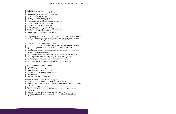- **Mike McKitterick, Colorado Access**
- Robert Mirsky, MD, Gateway Health Plan
- **David Pautz, MD, Blue Cross of Minnesota**
- Cheryl Phillips, MD, OnLok
- Melvin Pinn, MD, Virginia Premier  $\sim$
- $\mathcal{L}(\mathcal{A})$ Cindy Rosenberg, MD, UPMC
- Renee Rulin, MD, Commonwealth Care Alliance a sa
- Laurie Russell, RN, MS, CCM, XL Health
- **Tim Schwab, MD, SCAN Health Plan**
- **Robert Mirsky, MD, Gateway Health Plan**
- Jacqueline Simmons, MD, Passport Health Plan  $\mathcal{L}^{\mathcal{L}}$
- Thomas L. VonSternberg, MD, HealthPartners
- **Lora Wiggins, MD, Eldercare Wisconsin**

| **18 SNP GOLD STANDARDS FRAMEWORK**

The Medical Directors Leadership Group of The SNP Alliance also drew upon work of the following national associations, demonstration initiatives and national leaders in crafting the Gold Standards outlined in this report.

#### *National Associations and Related Initiatives*

- American College of Physicians, The Advanced Medical Home concept.
- American Health Insurance Plans, HMO Study Group on Case Management
- Institute of Medicine, Crossing the Quality Chasm and The Future of Disability in America reports.
- National Alliance on Mental Illness, various guidelines and material
- National Chronic Care Consortium, Self-Assessment for System H. Integration tool and other tools and relevant materials.
- National PACE Association, various guidelines and material
- National Registry of Evidence-based Programs and Practices

#### *Research and Demonstration Initiatives*

- $\blacksquare$  Evercare
- **MassHealth Senior Care Options (SCO)**
- Minnesota Senior Health Options
- **Partnership for Solutions, Johns Hopkins.**
- $\mathcal{L}^{\mathcal{L}}$ Social HMOs
- **Wisconsin Partnership Program**

#### *National Research Leaders, Published Reports*

- Chad Boult, Johns Hopkins, health systems research
- Linda P. Fried, Johns Hopkins, research of frail elderly, co-morbidity and disability
- Joanne Lynn, MD, end-of-life care
- $\mathcal{L}^{\mathcal{L}}$ Steve M. Shortell, University of California, Berkley, health systems research
- Barbara Starfield, Johns Hopkins, primary care research a sa
- $\mathcal{L}^{\mathcal{L}}$ Ed Wagner, Group Health Cooperative of Puget Sound, Chronic Care Model